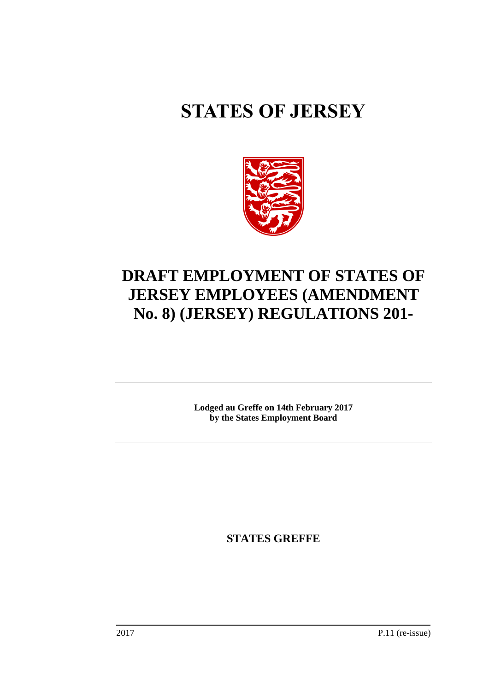# **STATES OF JERSEY**



# **DRAFT EMPLOYMENT OF STATES OF JERSEY EMPLOYEES (AMENDMENT No. 8) (JERSEY) REGULATIONS 201-**

**Lodged au Greffe on 14th February 2017 by the States Employment Board**

**STATES GREFFE**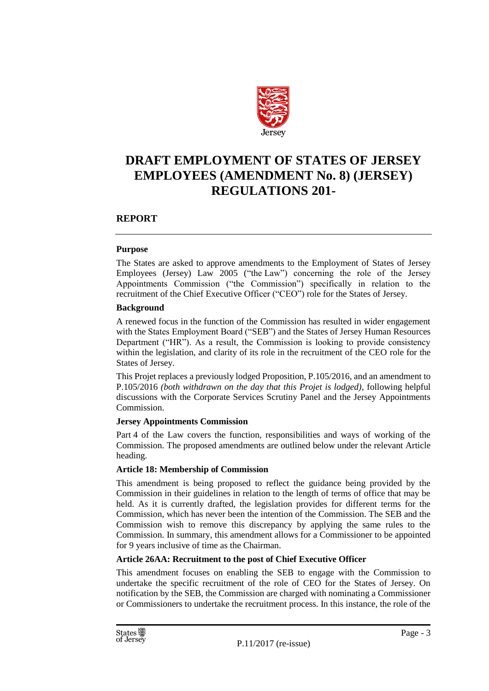

# **DRAFT EMPLOYMENT OF STATES OF JERSEY EMPLOYEES (AMENDMENT No. 8) (JERSEY) REGULATIONS 201-**

# **REPORT**

# **Purpose**

The States are asked to approve amendments to the Employment of States of Jersey Employees (Jersey) Law 2005 ("the Law") concerning the role of the Jersey Appointments Commission ("the Commission") specifically in relation to the recruitment of the Chief Executive Officer ("CEO") role for the States of Jersey.

#### **Background**

A renewed focus in the function of the Commission has resulted in wider engagement with the States Employment Board ("SEB") and the States of Jersey Human Resources Department ("HR"). As a result, the Commission is looking to provide consistency within the legislation, and clarity of its role in the recruitment of the CEO role for the States of Jersey.

This Projet replaces a previously lodged Proposition, P.105/2016, and an amendment to P.105/2016 *(both withdrawn on the day that this Projet is lodged)*, following helpful discussions with the Corporate Services Scrutiny Panel and the Jersey Appointments Commission.

# **Jersey Appointments Commission**

Part 4 of the Law covers the function, responsibilities and ways of working of the Commission. The proposed amendments are outlined below under the relevant Article heading.

# **Article 18: Membership of Commission**

This amendment is being proposed to reflect the guidance being provided by the Commission in their guidelines in relation to the length of terms of office that may be held. As it is currently drafted, the legislation provides for different terms for the Commission, which has never been the intention of the Commission. The SEB and the Commission wish to remove this discrepancy by applying the same rules to the Commission. In summary, this amendment allows for a Commissioner to be appointed for 9 years inclusive of time as the Chairman.

# **Article 26AA: Recruitment to the post of Chief Executive Officer**

This amendment focuses on enabling the SEB to engage with the Commission to undertake the specific recruitment of the role of CEO for the States of Jersey. On notification by the SEB, the Commission are charged with nominating a Commissioner or Commissioners to undertake the recruitment process. In this instance, the role of the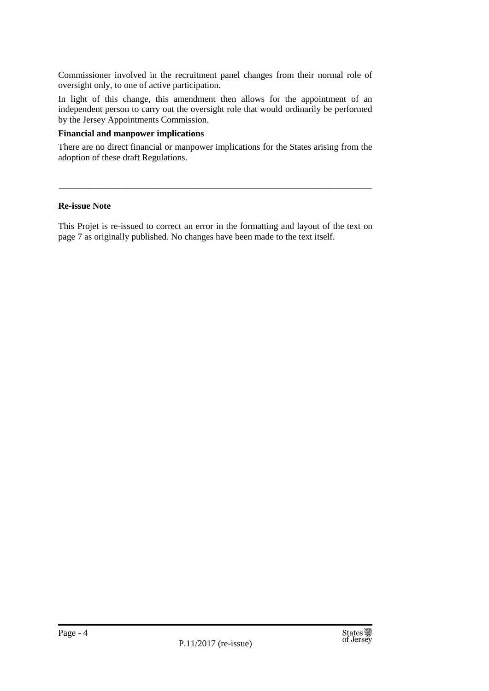Commissioner involved in the recruitment panel changes from their normal role of oversight only, to one of active participation.

In light of this change, this amendment then allows for the appointment of an independent person to carry out the oversight role that would ordinarily be performed by the Jersey Appointments Commission.

# **Financial and manpower implications**

There are no direct financial or manpower implications for the States arising from the adoption of these draft Regulations.

\_\_\_\_\_\_\_\_\_\_\_\_\_\_\_\_\_\_\_\_\_\_\_\_\_\_\_\_\_\_\_\_\_\_\_\_\_\_\_\_\_\_\_\_\_\_\_\_\_\_\_\_\_\_\_\_\_\_\_\_\_\_\_\_\_\_\_\_\_

#### **Re-issue Note**

This Projet is re-issued to correct an error in the formatting and layout of the text on page 7 as originally published. No changes have been made to the text itself.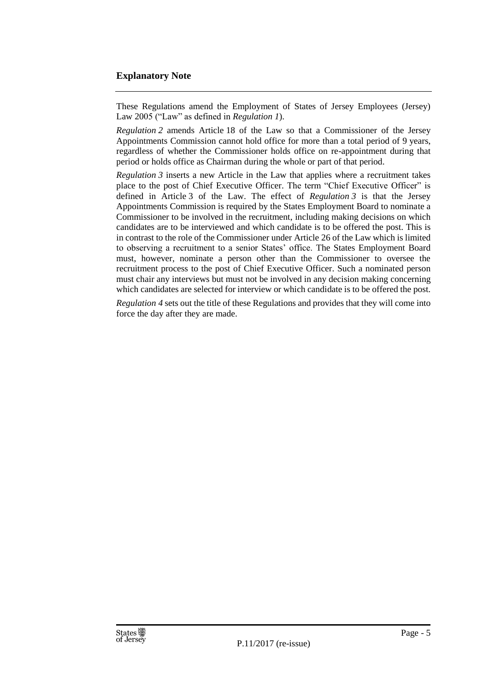# **Explanatory Note**

These Regulations amend the Employment of States of Jersey Employees (Jersey) Law 2005 ("Law" as defined in *Regulation 1*).

*Regulation 2* amends Article 18 of the Law so that a Commissioner of the Jersey Appointments Commission cannot hold office for more than a total period of 9 years, regardless of whether the Commissioner holds office on re-appointment during that period or holds office as Chairman during the whole or part of that period.

*Regulation 3* inserts a new Article in the Law that applies where a recruitment takes place to the post of Chief Executive Officer. The term "Chief Executive Officer" is defined in Article 3 of the Law. The effect of *Regulation 3* is that the Jersey Appointments Commission is required by the States Employment Board to nominate a Commissioner to be involved in the recruitment, including making decisions on which candidates are to be interviewed and which candidate is to be offered the post. This is in contrast to the role of the Commissioner under Article 26 of the Law which is limited to observing a recruitment to a senior States' office. The States Employment Board must, however, nominate a person other than the Commissioner to oversee the recruitment process to the post of Chief Executive Officer. Such a nominated person must chair any interviews but must not be involved in any decision making concerning which candidates are selected for interview or which candidate is to be offered the post.

*Regulation 4* sets out the title of these Regulations and provides that they will come into force the day after they are made.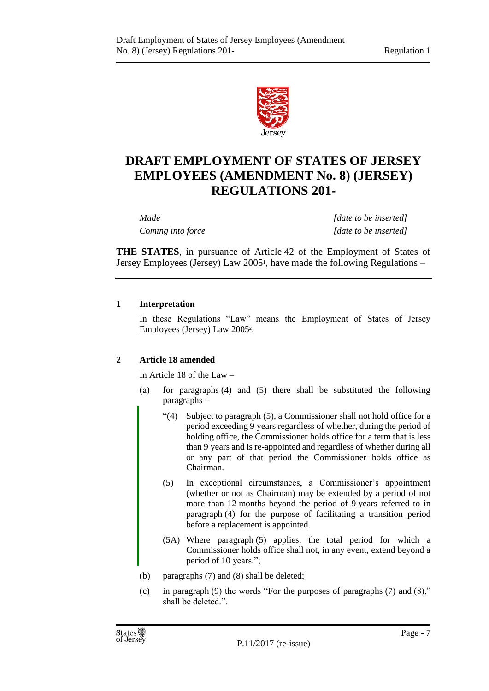

# **DRAFT EMPLOYMENT OF STATES OF JERSEY EMPLOYEES (AMENDMENT No. 8) (JERSEY) REGULATIONS 201-**

*Made [date to be inserted] Coming into force [date to be inserted]*

**THE STATES**, in pursuance of Article 42 of the Employment of States of Jersey Employees (Jersey) Law 2005<sup>1</sup>, have made the following Regulations –

# **1 Interpretation**

In these Regulations "Law" means the Employment of States of Jersey Employees (Jersey) Law 2005<sup>2</sup> .

# **2 Article 18 amended**

In Article 18 of the Law –

- (a) for paragraphs (4) and (5) there shall be substituted the following paragraphs –
	- "(4) Subject to paragraph (5), a Commissioner shall not hold office for a period exceeding 9 years regardless of whether, during the period of holding office, the Commissioner holds office for a term that is less than 9 years and is re-appointed and regardless of whether during all or any part of that period the Commissioner holds office as Chairman.
	- (5) In exceptional circumstances, a Commissioner's appointment (whether or not as Chairman) may be extended by a period of not more than 12 months beyond the period of 9 years referred to in paragraph (4) for the purpose of facilitating a transition period before a replacement is appointed.
	- (5A) Where paragraph (5) applies, the total period for which a Commissioner holds office shall not, in any event, extend beyond a period of 10 years.";
- (b) paragraphs (7) and (8) shall be deleted;
- (c) in paragraph (9) the words "For the purposes of paragraphs (7) and (8)," shall be deleted.".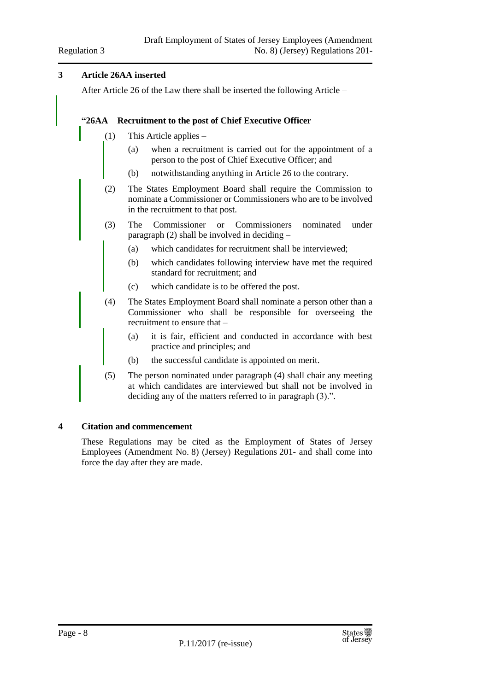# **3 Article 26AA inserted**

After Article 26 of the Law there shall be inserted the following Article –

# **"26AA Recruitment to the post of Chief Executive Officer**

- (1) This Article applies
	- (a) when a recruitment is carried out for the appointment of a person to the post of Chief Executive Officer; and
	- (b) notwithstanding anything in Article 26 to the contrary.
- (2) The States Employment Board shall require the Commission to nominate a Commissioner or Commissioners who are to be involved in the recruitment to that post.
- (3) The Commissioner or Commissioners nominated under paragraph (2) shall be involved in deciding –
	- (a) which candidates for recruitment shall be interviewed;
	- (b) which candidates following interview have met the required standard for recruitment; and
	- (c) which candidate is to be offered the post.
- (4) The States Employment Board shall nominate a person other than a Commissioner who shall be responsible for overseeing the recruitment to ensure that –
	- (a) it is fair, efficient and conducted in accordance with best practice and principles; and
	- (b) the successful candidate is appointed on merit.
- (5) The person nominated under paragraph (4) shall chair any meeting at which candidates are interviewed but shall not be involved in deciding any of the matters referred to in paragraph (3).".

# **4 Citation and commencement**

These Regulations may be cited as the Employment of States of Jersey Employees (Amendment No. 8) (Jersey) Regulations 201- and shall come into force the day after they are made.